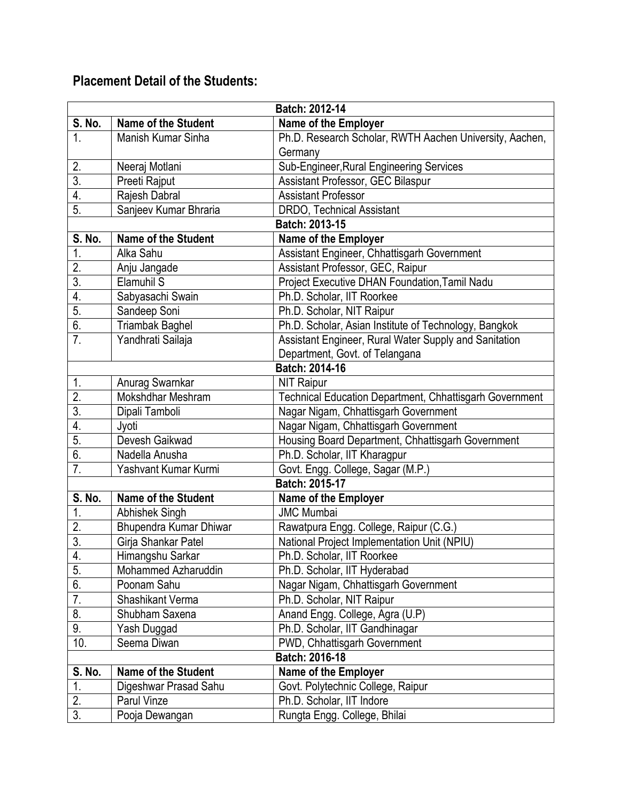## **Placement Detail of the Students:**

|                  | Batch: 2012-14             |                                                         |  |
|------------------|----------------------------|---------------------------------------------------------|--|
| <b>S. No.</b>    | <b>Name of the Student</b> | Name of the Employer                                    |  |
| 1.               | Manish Kumar Sinha         | Ph.D. Research Scholar, RWTH Aachen University, Aachen, |  |
|                  |                            | Germany                                                 |  |
| 2.               | Neeraj Motlani             | Sub-Engineer, Rural Engineering Services                |  |
| $\overline{3}$   | Preeti Rajput              | Assistant Professor, GEC Bilaspur                       |  |
| 4.               | Rajesh Dabral              | <b>Assistant Professor</b>                              |  |
| 5.               | Sanjeev Kumar Bhraria      | <b>DRDO, Technical Assistant</b>                        |  |
|                  |                            | Batch: 2013-15                                          |  |
| S. No.           | <b>Name of the Student</b> | <b>Name of the Employer</b>                             |  |
| 1.               | Alka Sahu                  | Assistant Engineer, Chhattisgarh Government             |  |
| 2.               | Anju Jangade               | Assistant Professor, GEC, Raipur                        |  |
| $\overline{3}$ . | Elamuhil S                 | Project Executive DHAN Foundation, Tamil Nadu           |  |
| 4.               | Sabyasachi Swain           | Ph.D. Scholar, IIT Roorkee                              |  |
| 5.               | Sandeep Soni               | Ph.D. Scholar, NIT Raipur                               |  |
| 6.               | <b>Triambak Baghel</b>     | Ph.D. Scholar, Asian Institute of Technology, Bangkok   |  |
| 7 <sub>1</sub>   | Yandhrati Sailaja          | Assistant Engineer, Rural Water Supply and Sanitation   |  |
|                  |                            | Department, Govt. of Telangana                          |  |
| Batch: 2014-16   |                            |                                                         |  |
| 1.               | Anurag Swarnkar            | <b>NIT Raipur</b>                                       |  |
| $\overline{2}$ . | Mokshdhar Meshram          | Technical Education Department, Chhattisgarh Government |  |
| $\overline{3}$   | Dipali Tamboli             | Nagar Nigam, Chhattisgarh Government                    |  |
| 4.               | Jyoti                      | Nagar Nigam, Chhattisgarh Government                    |  |
| 5.               | Devesh Gaikwad             | Housing Board Department, Chhattisgarh Government       |  |
| 6.               | Nadella Anusha             | Ph.D. Scholar, IIT Kharagpur                            |  |
| 7.               | Yashvant Kumar Kurmi       | Govt. Engg. College, Sagar (M.P.)                       |  |
| Batch: 2015-17   |                            |                                                         |  |
| S. No.           | <b>Name of the Student</b> | Name of the Employer                                    |  |
| 1.               | Abhishek Singh             | <b>JMC Mumbai</b>                                       |  |
| 2.               | Bhupendra Kumar Dhiwar     | Rawatpura Engg. College, Raipur (C.G.)                  |  |
| $\overline{3}$   | Girja Shankar Patel        | National Project Implementation Unit (NPIU)             |  |
| 4.               | Himangshu Sarkar           | Ph.D. Scholar, IIT Roorkee                              |  |
| $\overline{5}$ . | Mohammed Azharuddin        | Ph.D. Scholar, IIT Hyderabad                            |  |
| 6.               | Poonam Sahu                | Nagar Nigam, Chhattisgarh Government                    |  |
| 7.               | Shashikant Verma           | Ph.D. Scholar, NIT Raipur                               |  |
| 8.               | Shubham Saxena             | Anand Engg. College, Agra (U.P)                         |  |
| 9.               | Yash Duggad                | Ph.D. Scholar, IIT Gandhinagar                          |  |
| 10.              | Seema Diwan                | PWD, Chhattisgarh Government                            |  |
| Batch: 2016-18   |                            |                                                         |  |
| S. No.           | Name of the Student        | Name of the Employer                                    |  |
| 1.               | Digeshwar Prasad Sahu      | Govt. Polytechnic College, Raipur                       |  |
| 2.               | Parul Vinze                | Ph.D. Scholar, IIT Indore                               |  |
| $\overline{3}$   | Pooja Dewangan             | Rungta Engg. College, Bhilai                            |  |